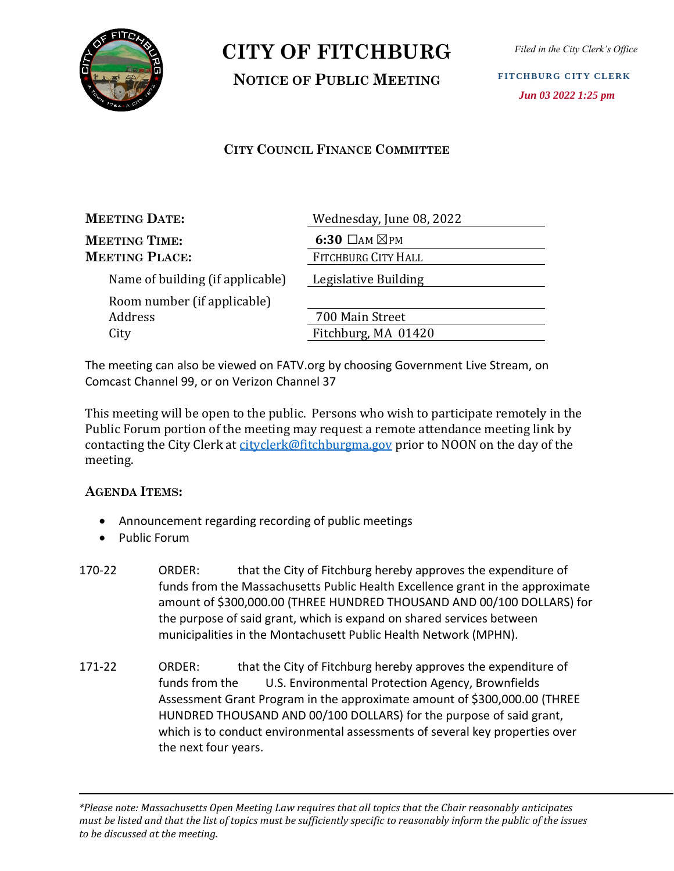

**NOTICE OF PUBLIC MEETING**

*Filed in the City Clerk's Office*

**FITCHBURG CITY CLERK**  *Jun 03 2022 1:25 pm*

#### **CITY COUNCIL FINANCE COMMITTEE**

| <b>MEETING DATE:</b>             | Wednesday, June 08, 2022      |
|----------------------------------|-------------------------------|
| <b>MEETING TIME:</b>             | 6:30 $\Box$ AM $\boxtimes$ PM |
| <b>MEETING PLACE:</b>            | FITCHBURG CITY HALL           |
| Name of building (if applicable) | Legislative Building          |
| Room number (if applicable)      |                               |
| Address                          | 700 Main Street               |
| City                             | Fitchburg, MA 01420           |

The meeting can also be viewed on FATV.org by choosing Government Live Stream, on Comcast Channel 99, or on Verizon Channel 37

This meeting will be open to the public. Persons who wish to participate remotely in the Public Forum portion of the meeting may request a remote attendance meeting link by contacting the City Clerk at [cityclerk@fitchburgma.gov](mailto:cityclerk@fitchburgma.gov) prior to NOON on the day of the meeting.

#### **AGENDA ITEMS:**

- Announcement regarding recording of public meetings
- Public Forum
- 170-22 ORDER: that the City of Fitchburg hereby approves the expenditure of funds from the Massachusetts Public Health Excellence grant in the approximate amount of \$300,000.00 (THREE HUNDRED THOUSAND AND 00/100 DOLLARS) for the purpose of said grant, which is expand on shared services between municipalities in the Montachusett Public Health Network (MPHN).
- 171-22 ORDER: that the City of Fitchburg hereby approves the expenditure of funds from the U.S. Environmental Protection Agency, Brownfields Assessment Grant Program in the approximate amount of \$300,000.00 (THREE HUNDRED THOUSAND AND 00/100 DOLLARS) for the purpose of said grant, which is to conduct environmental assessments of several key properties over the next four years.

*<sup>\*</sup>Please note: Massachusetts Open Meeting Law requires that all topics that the Chair reasonably anticipates must be listed and that the list of topics must be sufficiently specific to reasonably inform the public of the issues to be discussed at the meeting.*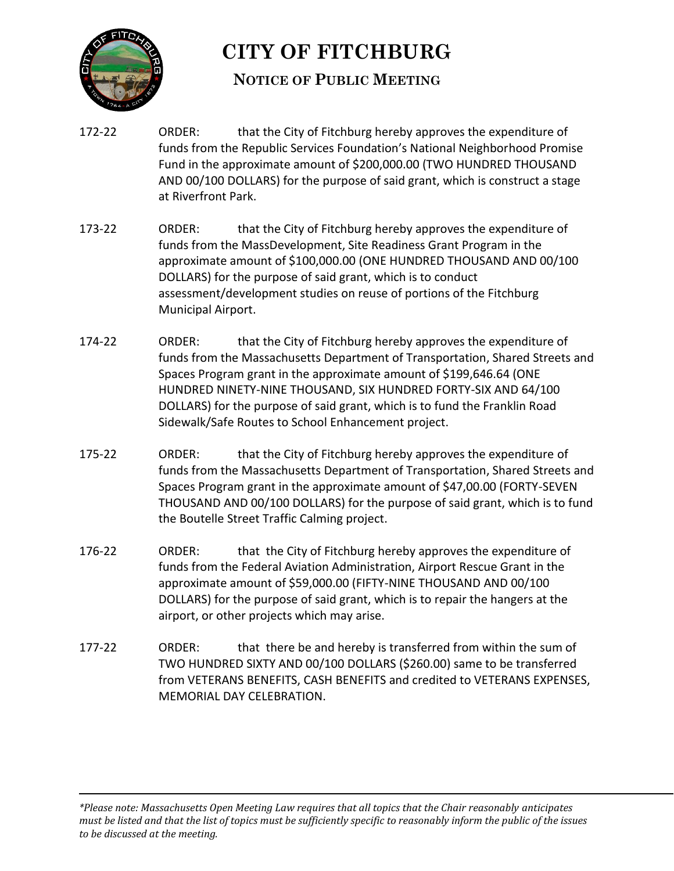

### **NOTICE OF PUBLIC MEETING**

- 172-22 ORDER: that the City of Fitchburg hereby approves the expenditure of funds from the Republic Services Foundation's National Neighborhood Promise Fund in the approximate amount of \$200,000.00 (TWO HUNDRED THOUSAND AND 00/100 DOLLARS) for the purpose of said grant, which is construct a stage at Riverfront Park.
- 173-22 ORDER: that the City of Fitchburg hereby approves the expenditure of funds from the MassDevelopment, Site Readiness Grant Program in the approximate amount of \$100,000.00 (ONE HUNDRED THOUSAND AND 00/100 DOLLARS) for the purpose of said grant, which is to conduct assessment/development studies on reuse of portions of the Fitchburg Municipal Airport.
- 174-22 ORDER: that the City of Fitchburg hereby approves the expenditure of funds from the Massachusetts Department of Transportation, Shared Streets and Spaces Program grant in the approximate amount of \$199,646.64 (ONE HUNDRED NINETY-NINE THOUSAND, SIX HUNDRED FORTY-SIX AND 64/100 DOLLARS) for the purpose of said grant, which is to fund the Franklin Road Sidewalk/Safe Routes to School Enhancement project.
- 175-22 ORDER: that the City of Fitchburg hereby approves the expenditure of funds from the Massachusetts Department of Transportation, Shared Streets and Spaces Program grant in the approximate amount of \$47,00.00 (FORTY-SEVEN THOUSAND AND 00/100 DOLLARS) for the purpose of said grant, which is to fund the Boutelle Street Traffic Calming project.
- 176-22 ORDER: that the City of Fitchburg hereby approves the expenditure of funds from the Federal Aviation Administration, Airport Rescue Grant in the approximate amount of \$59,000.00 (FIFTY-NINE THOUSAND AND 00/100 DOLLARS) for the purpose of said grant, which is to repair the hangers at the airport, or other projects which may arise.
- 177-22 ORDER: that there be and hereby is transferred from within the sum of TWO HUNDRED SIXTY AND 00/100 DOLLARS (\$260.00) same to be transferred from VETERANS BENEFITS, CASH BENEFITS and credited to VETERANS EXPENSES, MEMORIAL DAY CELEBRATION.

*<sup>\*</sup>Please note: Massachusetts Open Meeting Law requires that all topics that the Chair reasonably anticipates must be listed and that the list of topics must be sufficiently specific to reasonably inform the public of the issues to be discussed at the meeting.*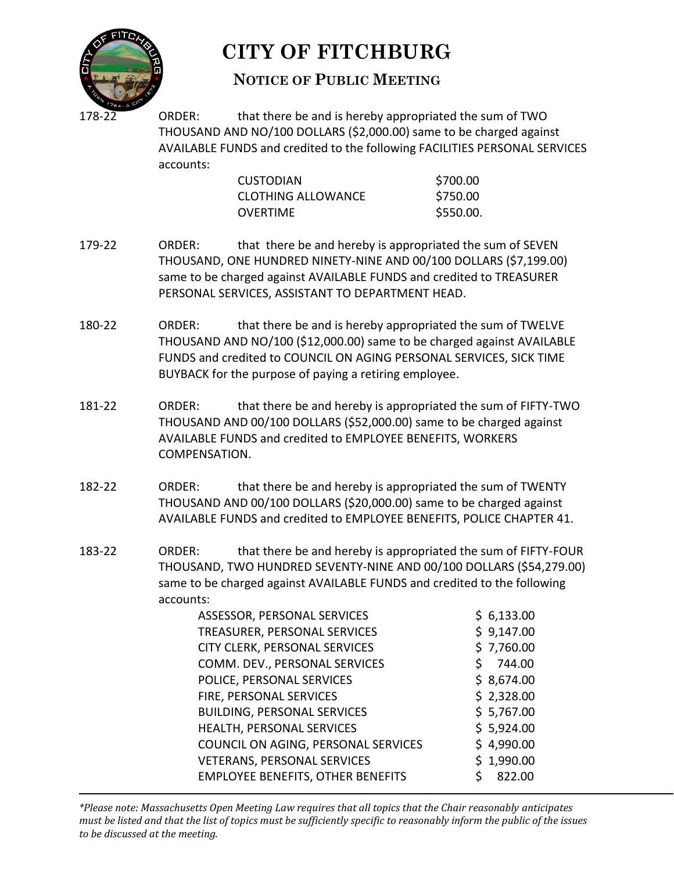

#### **NOTICE OF PUBLIC MEETING**

ORDER: that there be and is hereby appropriated the sum of TWO THOUSAND AND NO/100 DOLLARS (\$2,000.00) same to be charged against AVAILABLE FUNDS and credited to the following FACILITIES PERSONAL SERVICES accounts:

| <b>CUSTODIAN</b>          | \$700.00  |
|---------------------------|-----------|
| <b>CLOTHING ALLOWANCE</b> | \$750.00  |
| OVERTIME                  | \$550.00. |

- 179-22 ORDER: that there be and hereby is appropriated the sum of SEVEN THOUSAND, ONE HUNDRED NINETY-NINE AND 00/100 DOLLARS (\$7,199.00) same to be charged against AVAILABLE FUNDS and credited to TREASURER PERSONAL SERVICES, ASSISTANT TO DEPARTMENT HEAD.
- 180-22 ORDER: that there be and is hereby appropriated the sum of TWELVE THOUSAND AND NO/100 (\$12,000.00) same to be charged against AVAILABLE FUNDS and credited to COUNCIL ON AGING PERSONAL SERVICES, SICK TIME BUYBACK for the purpose of paying a retiring employee.
- 181-22 ORDER: that there be and hereby is appropriated the sum of FIFTY-TWO THOUSAND AND 00/100 DOLLARS (\$52,000.00) same to be charged against AVAILABLE FUNDS and credited to EMPLOYEE BENEFITS, WORKERS COMPENSATION.
- 182-22 ORDER: that there be and hereby is appropriated the sum of TWENTY THOUSAND AND 00/100 DOLLARS (\$20,000.00) same to be charged against AVAILABLE FUNDS and credited to EMPLOYEE BENEFITS, POLICE CHAPTER 41.
- 183-22 ORDER: that there be and hereby is appropriated the sum of FIFTY-FOUR THOUSAND, TWO HUNDRED SEVENTY-NINE AND 00/100 DOLLARS (\$54,279.00) same to be charged against AVAILABLE FUNDS and credited to the following accounts:

| ASSESSOR, PERSONAL SERVICES              | \$6,133.00 |
|------------------------------------------|------------|
| TREASURER, PERSONAL SERVICES             | \$9,147.00 |
| CITY CLERK, PERSONAL SERVICES            | \$7,760.00 |
| COMM. DEV., PERSONAL SERVICES            | 744.00     |
| POLICE, PERSONAL SERVICES                | \$8,674.00 |
| FIRE, PERSONAL SERVICES                  | \$2,328.00 |
| <b>BUILDING, PERSONAL SERVICES</b>       | \$5,767.00 |
| HEALTH, PERSONAL SERVICES                | \$5,924.00 |
| COUNCIL ON AGING, PERSONAL SERVICES      | \$4,990.00 |
| <b>VETERANS, PERSONAL SERVICES</b>       | \$1,990.00 |
| <b>EMPLOYEE BENEFITS, OTHER BENEFITS</b> | 822.00     |

*\*Please note: Massachusetts Open Meeting Law requires that all topics that the Chair reasonably anticipates must be listed and that the list of topics must be sufficiently specific to reasonably inform the public of the issues to be discussed at the meeting.*